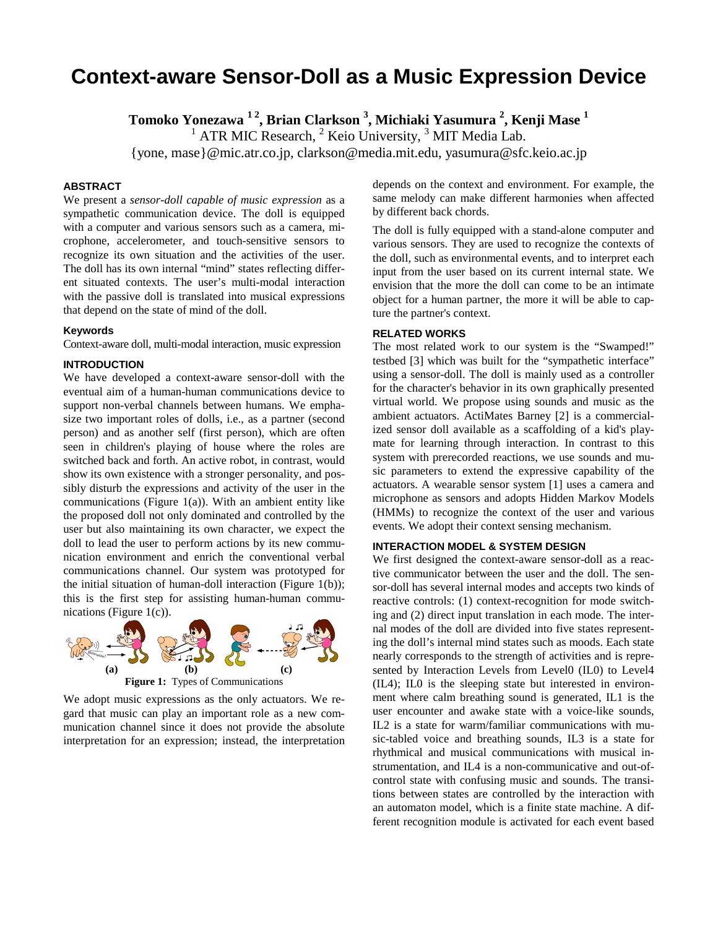# **Context-aware Sensor-Doll as a Music Expression Device**

**Tomoko Yonezawa 1 2, Brian Clarkson 3 , Michiaki Yasumura 2 , Kenji Mase 1**

 $1$  ATR MIC Research,  $2$  Keio University,  $3$  MIT Media Lab.

{yone, mase}@mic.atr.co.jp, clarkson@media.mit.edu, yasumura@sfc.keio.ac.jp

## **ABSTRACT**

We present a *sensor-doll capable of music expression* as a sympathetic communication device. The doll is equipped with a computer and various sensors such as a camera, microphone, accelerometer, and touch-sensitive sensors to recognize its own situation and the activities of the user. The doll has its own internal "mind" states reflecting different situated contexts. The user's multi-modal interaction with the passive doll is translated into musical expressions that depend on the state of mind of the doll.

## **Keywords**

Context-aware doll, multi-modal interaction, music expression

## **INTRODUCTION**

We have developed a context-aware sensor-doll with the eventual aim of a human-human communications device to support non-verbal channels between humans. We emphasize two important roles of dolls, i.e., as a partner (second person) and as another self (first person), which are often seen in children's playing of house where the roles are switched back and forth. An active robot, in contrast, would show its own existence with a stronger personality, and possibly disturb the expressions and activity of the user in the communications (Figure 1(a)). With an ambient entity like the proposed doll not only dominated and controlled by the user but also maintaining its own character, we expect the doll to lead the user to perform actions by its new communication environment and enrich the conventional verbal communications channel. Our system was prototyped for the initial situation of human-doll interaction (Figure 1(b)); this is the first step for assisting human-human communications (Figure 1(c)).



We adopt music expressions as the only actuators. We regard that music can play an important role as a new communication channel since it does not provide the absolute interpretation for an expression; instead, the interpretation

depends on the context and environment. For example, the same melody can make different harmonies when affected by different back chords.

The doll is fully equipped with a stand-alone computer and various sensors. They are used to recognize the contexts of the doll, such as environmental events, and to interpret each input from the user based on its current internal state. We envision that the more the doll can come to be an intimate object for a human partner, the more it will be able to capture the partner's context.

#### **RELATED WORKS**

The most related work to our system is the "Swamped!" testbed [3] which was built for the "sympathetic interface" using a sensor-doll. The doll is mainly used as a controller for the character's behavior in its own graphically presented virtual world. We propose using sounds and music as the ambient actuators. ActiMates Barney [2] is a commercialized sensor doll available as a scaffolding of a kid's playmate for learning through interaction. In contrast to this system with prerecorded reactions, we use sounds and music parameters to extend the expressive capability of the actuators. A wearable sensor system [1] uses a camera and microphone as sensors and adopts Hidden Markov Models (HMMs) to recognize the context of the user and various events. We adopt their context sensing mechanism.

## **INTERACTION MODEL & SYSTEM DESIGN**

We first designed the context-aware sensor-doll as a reactive communicator between the user and the doll. The sensor-doll has several internal modes and accepts two kinds of reactive controls: (1) context-recognition for mode switching and (2) direct input translation in each mode. The internal modes of the doll are divided into five states representing the doll's internal mind states such as moods. Each state nearly corresponds to the strength of activities and is represented by Interaction Levels from Level0 (IL0) to Level4 (IL4); IL0 is the sleeping state but interested in environment where calm breathing sound is generated, IL1 is the user encounter and awake state with a voice-like sounds, IL2 is a state for warm/familiar communications with music-tabled voice and breathing sounds, IL3 is a state for rhythmical and musical communications with musical instrumentation, and IL4 is a non-communicative and out-ofcontrol state with confusing music and sounds. The transitions between states are controlled by the interaction with an automaton model, which is a finite state machine. A different recognition module is activated for each event based